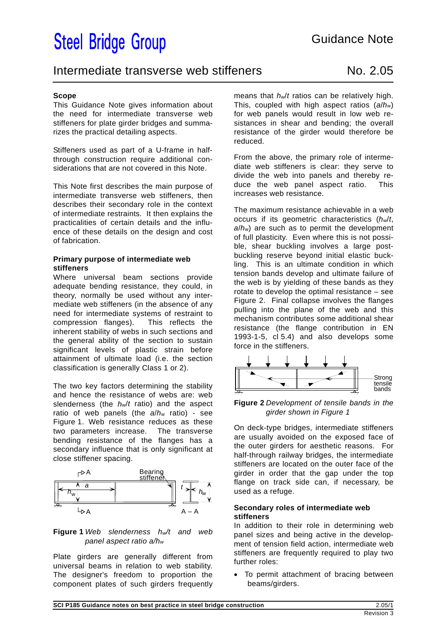# **Steel Bridge Group**

### Intermediate transverse web stiffeners Mo. 2.05

### **Scope**

This Guidance Note gives information about the need for intermediate transverse web stiffeners for plate girder bridges and summarizes the practical detailing aspects.

Stiffeners used as part of a U-frame in halfthrough construction require additional considerations that are not covered in this Note.

This Note first describes the main purpose of intermediate transverse web stiffeners, then describes their secondary role in the context of intermediate restraints. It then explains the practicalities of certain details and the influence of these details on the design and cost of fabrication.

### **Primary purpose of intermediate web stiffeners**

Where universal beam sections provide adequate bending resistance, they could, in theory, normally be used without any intermediate web stiffeners (in the absence of any need for intermediate systems of restraint to compression flanges). This reflects the inherent stability of webs in such sections and the general ability of the section to sustain significant levels of plastic strain before attainment of ultimate load (i.e. the section classification is generally Class 1 or 2).

The two key factors determining the stability and hence the resistance of webs are: web slenderness (the *h*w/*t* ratio) and the aspect ratio of web panels (the *a*/*h*w ratio) - see Figure 1. Web resistance reduces as these two parameters increase. The transverse bending resistance of the flanges has a secondary influence that is only significant at close stiffener spacing.



### **Figure 1** *Web slenderness hw/t and web panel aspect ratio a/hw*

Plate girders are generally different from universal beams in relation to web stability. The designer's freedom to proportion the component plates of such girders frequently means that *h*w/*t* ratios can be relatively high. This, coupled with high aspect ratios (*a*/*h*w) for web panels would result in low web resistances in shear and bending; the overall resistance of the girder would therefore be reduced.

From the above, the primary role of intermediate web stiffeners is clear: they serve to divide the web into panels and thereby reduce the web panel aspect ratio. This increases web resistance.

The maximum resistance achievable in a web occurs if its geometric characteristics (*h*w/*t*, *a*/*h*w) are such as to permit the development of full plasticity. Even where this is not possible, shear buckling involves a large postbuckling reserve beyond initial elastic buckling. This is an ultimate condition in which tension bands develop and ultimate failure of the web is by yielding of these bands as they rotate to develop the optimal resistance – see Figure 2. Final collapse involves the flanges pulling into the plane of the web and this mechanism contributes some additional shear resistance (the flange contribution in EN 1993-1-5, cl 5.4) and also develops some force in the stiffeners.



**Figure 2** *Development of tensile bands in the girder shown in Figure 1* 

On deck-type bridges, intermediate stiffeners are usually avoided on the exposed face of the outer girders for aesthetic reasons. For half-through railway bridges, the intermediate stiffeners are located on the outer face of the girder in order that the gap under the top flange on track side can, if necessary, be used as a refuge.

### **Secondary roles of intermediate web stiffeners**

In addition to their role in determining web panel sizes and being active in the development of tension field action, intermediate web stiffeners are frequently required to play two further roles:

 To permit attachment of bracing between beams/girders.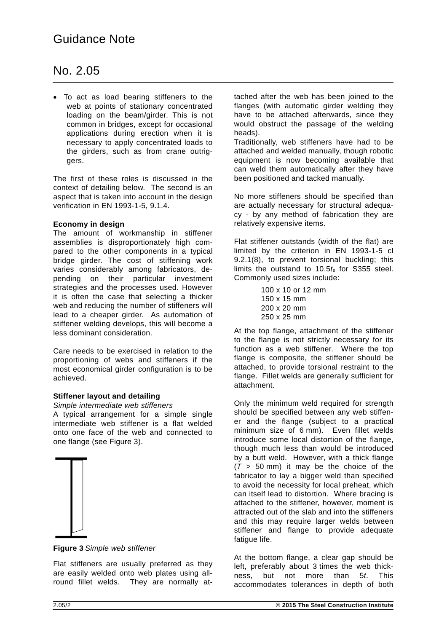## No. 2.05

 To act as load bearing stiffeners to the web at points of stationary concentrated loading on the beam/girder. This is not common in bridges, except for occasional applications during erection when it is necessary to apply concentrated loads to the girders, such as from crane outriggers.

The first of these roles is discussed in the context of detailing below. The second is an aspect that is taken into account in the design verification in EN 1993-1-5, 9.1.4.

### **Economy in design**

The amount of workmanship in stiffener assemblies is disproportionately high compared to the other components in a typical bridge girder. The cost of stiffening work varies considerably among fabricators, depending on their particular investment strategies and the processes used. However it is often the case that selecting a thicker web and reducing the number of stiffeners will lead to a cheaper girder. As automation of stiffener welding develops, this will become a less dominant consideration.

Care needs to be exercised in relation to the proportioning of webs and stiffeners if the most economical girder configuration is to be achieved.

### **Stiffener layout and detailing**

*Simple intermediate web stiffeners*

A typical arrangement for a simple single intermediate web stiffener is a flat welded onto one face of the web and connected to one flange (see Figure 3).



**Figure 3** *Simple web stiffener* 

Flat stiffeners are usually preferred as they are easily welded onto web plates using allround fillet welds. They are normally attached after the web has been joined to the flanges (with automatic girder welding they have to be attached afterwards, since they would obstruct the passage of the welding heads).

Traditionally, web stiffeners have had to be attached and welded manually, though robotic equipment is now becoming available that can weld them automatically after they have been positioned and tacked manually.

No more stiffeners should be specified than are actually necessary for structural adequacy - by any method of fabrication they are relatively expensive items.

Flat stiffener outstands (width of the flat) are limited by the criterion in EN 1993-1-5 cl 9.2.1(8), to prevent torsional buckling; this limits the outstand to 10.5*t*s for S355 steel. Commonly used sizes include:

> 100 x 10 or 12 mm 150 x 15 mm 200 x 20 mm 250 x 25 mm

At the top flange, attachment of the stiffener to the flange is not strictly necessary for its function as a web stiffener. Where the top flange is composite, the stiffener should be attached, to provide torsional restraint to the flange. Fillet welds are generally sufficient for attachment.

Only the minimum weld required for strength should be specified between any web stiffener and the flange (subject to a practical minimum size of 6 mm). Even fillet welds introduce some local distortion of the flange, though much less than would be introduced by a butt weld. However, with a thick flange  $(T > 50$  mm) it may be the choice of the fabricator to lay a bigger weld than specified to avoid the necessity for local preheat, which can itself lead to distortion. Where bracing is attached to the stiffener, however, moment is attracted out of the slab and into the stiffeners and this may require larger welds between stiffener and flange to provide adequate fatigue life.

At the bottom flange, a clear gap should be left, preferably about 3 times the web thickness, but not more than 5*t*. This accommodates tolerances in depth of both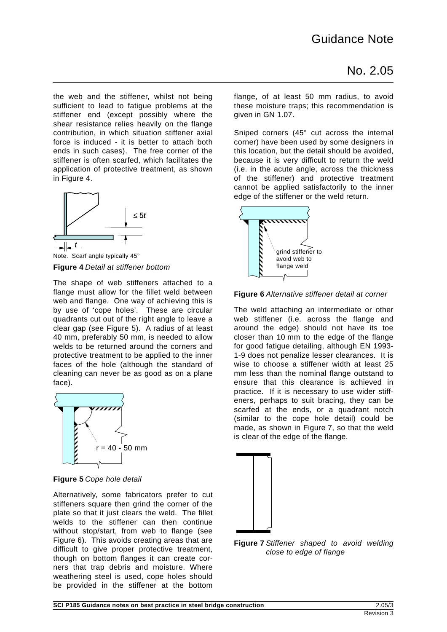the web and the stiffener, whilst not being sufficient to lead to fatigue problems at the stiffener end (except possibly where the shear resistance relies heavily on the flange contribution, in which situation stiffener axial force is induced - it is better to attach both ends in such cases). The free corner of the stiffener is often scarfed, which facilitates the application of protective treatment, as shown in Figure 4.



Note. Scarf angle typically 45° **Figure 4** *Detail at stiffener bottom* 

The shape of web stiffeners attached to a flange must allow for the fillet weld between web and flange. One way of achieving this is by use of 'cope holes'. These are circular quadrants cut out of the right angle to leave a clear gap (see Figure 5). A radius of at least 40 mm, preferably 50 mm, is needed to allow welds to be returned around the corners and protective treatment to be applied to the inner faces of the hole (although the standard of cleaning can never be as good as on a plane face).



**Figure 5** *Cope hole detail* 

Alternatively, some fabricators prefer to cut stiffeners square then grind the corner of the plate so that it just clears the weld. The fillet welds to the stiffener can then continue without stop/start, from web to flange (see Figure 6). This avoids creating areas that are difficult to give proper protective treatment, though on bottom flanges it can create corners that trap debris and moisture. Where weathering steel is used, cope holes should be provided in the stiffener at the bottom flange, of at least 50 mm radius, to avoid these moisture traps; this recommendation is given in GN 1.07.

Sniped corners (45° cut across the internal corner) have been used by some designers in this location, but the detail should be avoided, because it is very difficult to return the weld (i.e. in the acute angle, across the thickness of the stiffener) and protective treatment cannot be applied satisfactorily to the inner edge of the stiffener or the weld return.



**Figure 6** *Alternative stiffener detail at corner* 

The weld attaching an intermediate or other web stiffener (i.e. across the flange and around the edge) should not have its toe closer than 10 mm to the edge of the flange for good fatigue detailing, although EN 1993- 1-9 does not penalize lesser clearances. It is wise to choose a stiffener width at least 25 mm less than the nominal flange outstand to ensure that this clearance is achieved in practice. If it is necessary to use wider stiffeners, perhaps to suit bracing, they can be scarfed at the ends, or a quadrant notch (similar to the cope hole detail) could be made, as shown in Figure 7, so that the weld is clear of the edge of the flange.



**Figure 7** *Stiffener shaped to avoid welding close to edge of flange*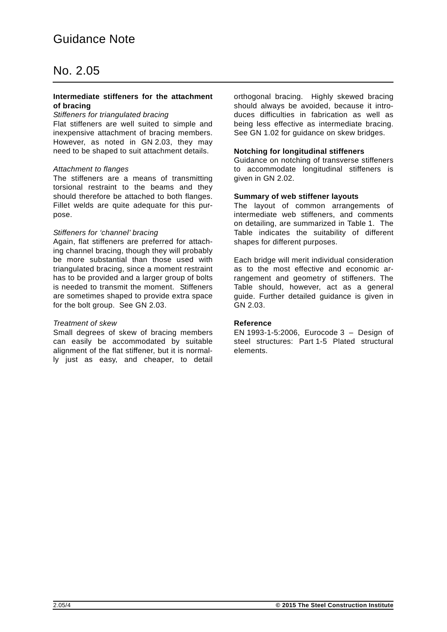### No. 2.05

#### **Intermediate stiffeners for the attachment of bracing**

#### *Stiffeners for triangulated bracing*

Flat stiffeners are well suited to simple and inexpensive attachment of bracing members. However, as noted in GN 2.03, they may need to be shaped to suit attachment details.

### *Attachment to flanges*

The stiffeners are a means of transmitting torsional restraint to the beams and they should therefore be attached to both flanges. Fillet welds are quite adequate for this purpose.

### *Stiffeners for 'channel' bracing*

Again, flat stiffeners are preferred for attaching channel bracing, though they will probably be more substantial than those used with triangulated bracing, since a moment restraint has to be provided and a larger group of bolts is needed to transmit the moment. Stiffeners are sometimes shaped to provide extra space for the bolt group. See GN 2.03.

### *Treatment of skew*

Small degrees of skew of bracing members can easily be accommodated by suitable alignment of the flat stiffener, but it is normally just as easy, and cheaper, to detail orthogonal bracing. Highly skewed bracing should always be avoided, because it introduces difficulties in fabrication as well as being less effective as intermediate bracing. See GN 1.02 for guidance on skew bridges.

### **Notching for longitudinal stiffeners**

Guidance on notching of transverse stiffeners to accommodate longitudinal stiffeners is given in GN 2.02.

### **Summary of web stiffener layouts**

The layout of common arrangements of intermediate web stiffeners, and comments on detailing, are summarized in Table 1. The Table indicates the suitability of different shapes for different purposes.

Each bridge will merit individual consideration as to the most effective and economic arrangement and geometry of stiffeners. The Table should, however, act as a general guide. Further detailed guidance is given in GN 2.03.

### **Reference**

EN 1993-1-5:2006, Eurocode 3 – Design of steel structures: Part 1-5 Plated structural elements.